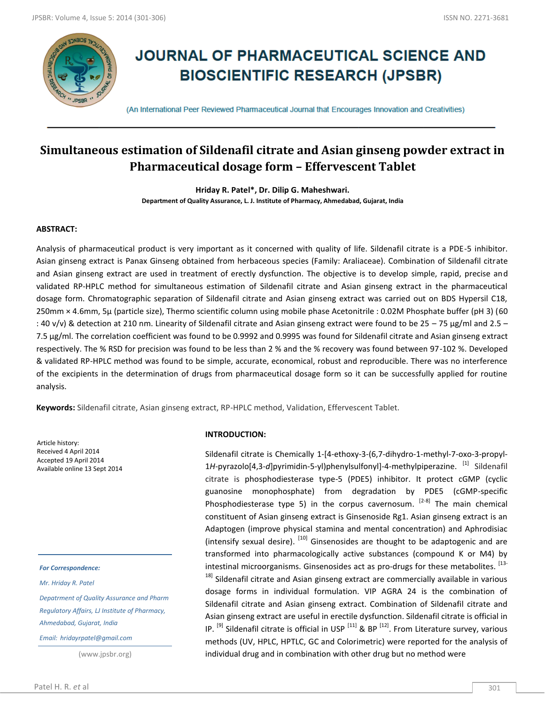

# **JOURNAL OF PHARMACEUTICAL SCIENCE AND BIOSCIENTIFIC RESEARCH (JPSBR)**

(An International Peer Reviewed Pharmaceutical Journal that Encourages Innovation and Creativities)

# **Simultaneous estimation of Sildenafil citrate and Asian ginseng powder extract in Pharmaceutical dosage form – Effervescent Tablet**

**Hriday R. Patel\*, Dr. Dilip G. Maheshwari.**

**Department of Quality Assurance, L. J. Institute of Pharmacy, Ahmedabad, Gujarat, India**

# **ABSTRACT:**

Analysis of pharmaceutical product is very important as it concerned with quality of life. Sildenafil citrate is a PDE-5 inhibitor. Asian ginseng extract is Panax Ginseng obtained from herbaceous species (Family: Araliaceae). Combination of Sildenafil citrate and Asian ginseng extract are used in treatment of erectly dysfunction. The objective is to develop simple, rapid, precise and validated RP-HPLC method for simultaneous estimation of Sildenafil citrate and Asian ginseng extract in the pharmaceutical dosage form. Chromatographic separation of Sildenafil citrate and Asian ginseng extract was carried out on BDS Hypersil C18, 250mm × 4.6mm, 5µ (particle size), Thermo scientific column using mobile phase Acetonitrile : 0.02M Phosphate buffer (pH 3) (60 : 40 v/v) & detection at 210 nm. Linearity of Sildenafil citrate and Asian ginseng extract were found to be 25 – 75 µg/ml and 2.5 – 7.5 µg/ml. The correlation coefficient was found to be 0.9992 and 0.9995 was found for Sildenafil citrate and Asian ginseng extract respectively. The % RSD for precision was found to be less than 2 % and the % recovery was found between 97-102 %. Developed & validated RP-HPLC method was found to be simple, accurate, economical, robust and reproducible. There was no interference of the excipients in the determination of drugs from pharmaceutical dosage form so it can be successfully applied for routine analysis.

**Keywords:** Sildenafil citrate, Asian ginseng extract, RP-HPLC method, Validation, Effervescent Tablet.

Article history: Received 4 April 2014 Accepted 19 April 2014 Available online 13 Sept 2014

#### *For Correspondence:*

*Mr. Hriday R. Patel*

*Depatrment of Quality Assurance and Pharm Regulatory Affairs, LJ Institute of Pharmacy, Ahmedabad, Gujarat, India*

*Email: hridayrpatel@gmail.com*

(www.jpsbr.org)

#### **INTRODUCTION:**

Sildenafil citrate is Chemically 1-[4-ethoxy-3-(6,7-dihydro-1-methyl-7-oxo-3-propyl-1H-pyrazolo[4,3-*d*]pyrimidin-5-yl)phenylsulfonyl]-4-methylpiperazine. <sup>[1]</sup> Sildenafil citrate is phosphodiesterase type-5 (PDE5) inhibitor. It protect cGMP (cyclic guanosine monophosphate) from degradation by PDE5 (cGMP-specific Phosphodiesterase type 5) in the corpus cavernosum. <sup>[2-8]</sup> The main chemical constituent of Asian ginseng extract is Ginsenoside Rg1. Asian ginseng extract is an Adaptogen (improve physical stamina and mental concentration) and Aphrodisiac (intensify sexual desire). <sup>[10]</sup> Ginsenosides are thought to be adaptogenic and are transformed into pharmacologically active substances (compound K or M4) by intestinal microorganisms. Ginsenosides act as pro-drugs for these metabolites. [13-

<sup>18]</sup> Sildenafil citrate and Asian ginseng extract are commercially available in various dosage forms in individual formulation. VIP AGRA 24 is the combination of Sildenafil citrate and Asian ginseng extract. Combination of Sildenafil citrate and Asian ginseng extract are useful in erectile dysfunction. Sildenafil citrate is official in IP.  $^{[9]}$  Sildenafil citrate is official in USP  $^{[11]}$  & BP  $^{[12]}$ . From Literature survey, various methods (UV, HPLC, HPTLC, GC and Colorimetric) were reported for the analysis of individual drug and in combination with other drug but no method were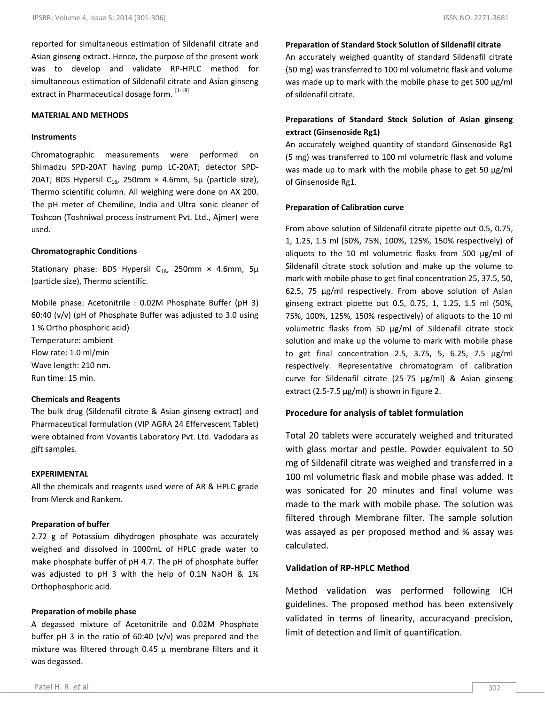reported for simultaneous estimation of Sildenafil citrate and Asian ginseng extract. Hence, the purpose of the present work was to develop and validate RP-HPLC method for simultaneous estimation of Sildenafil citrate and Asian ginseng extract in Pharmaceutical dosage form. [1-18]

#### **MATERIAL AND METHODS**

#### **Instruments**

Chromatographic measurements were performed on Shimadzu SPD-20AT having pump LC-20AT; detector SPD-20AT; BDS Hypersil C<sub>18</sub>, 250mm  $\times$  4.6mm, 5µ (particle size), Thermo scientific column. All weighing were done on AX 200. The pH meter of Chemiline, India and Ultra sonic cleaner of Toshcon (Toshniwal process instrument Pvt. Ltd., Ajmer) were used.

# **Chromatographic Conditions**

Stationary phase: BDS Hypersil C<sub>18</sub>, 250mm × 4.6mm, 5 $\mu$ (particle size), Thermo scientific.

Mobile phase: Acetonitrile : 0.02M Phosphate Buffer (pH 3) 60:40 (v/v) (pH of Phosphate Buffer was adjusted to 3.0 using 1 % Ortho phosphoric acid) Temperature: ambient Flow rate: 1.0 ml/min Wave length: 210 nm. Run time: 15 min.

# **Chemicals and Reagents**

The bulk drug (Sildenafil citrate & Asian ginseng extract) and Pharmaceutical formulation (VIP AGRA 24 Effervescent Tablet) were obtained from Vovantis Laboratory Pvt. Ltd. Vadodara as gift samples.

# **EXPERIMENTAL**

All the chemicals and reagents used were of AR & HPLC grade from Merck and Rankem.

# **Preparation of buffer**

2.72 g of Potassium dihydrogen phosphate was accurately weighed and dissolved in 1000mL of HPLC grade water to make phosphate buffer of pH 4.7. The pH of phosphate buffer was adjusted to pH 3 with the help of 0.1N NaOH & 1% Orthophosphoric acid.

#### **Preparation of mobile phase**

A degassed mixture of Acetonitrile and 0.02M Phosphate buffer pH 3 in the ratio of  $60:40$  (v/v) was prepared and the mixture was filtered through 0.45  $\mu$  membrane filters and it was degassed.

An accurately weighed quantity of standard Sildenafil citrate (50 mg) was transferred to 100 ml volumetric flask and volume was made up to mark with the mobile phase to get 500 μg/ml of sildenafil citrate.

# **Preparations of Standard Stock Solution of Asian ginseng extract (Ginsenoside Rg1)**

An accurately weighed quantity of standard Ginsenoside Rg1 (5 mg) was transferred to 100 ml volumetric flask and volume was made up to mark with the mobile phase to get 50 μg/ml of Ginsenoside Rg1.

#### **Preparation of Calibration curve**

From above solution of Sildenafil citrate pipette out 0.5, 0.75, 1, 1.25, 1.5 ml (50%, 75%, 100%, 125%, 150% respectively) of aliquots to the 10 ml volumetric flasks from 500 μg/ml of Sildenafil citrate stock solution and make up the volume to mark with mobile phase to get final concentration 25, 37.5, 50, 62.5, 75 μg/ml respectively. From above solution of Asian ginseng extract pipette out 0.5, 0.75, 1, 1.25, 1.5 ml (50%, 75%, 100%, 125%, 150% respectively) of aliquots to the 10 ml volumetric flasks from 50 μg/ml of Sildenafil citrate stock solution and make up the volume to mark with mobile phase to get final concentration 2.5, 3.75, 5, 6.25, 7.5 μg/ml respectively. Representative chromatogram of calibration curve for Sildenafil citrate (25-75 μg/ml) & Asian ginseng extract (2.5-7.5 μg/ml) is shown in figure 2.

# **Procedure for analysis of tablet formulation**

Total 20 tablets were accurately weighed and triturated with glass mortar and pestle. Powder equivalent to 50 mg of Sildenafil citrate was weighed and transferred in a 100 ml volumetric flask and mobile phase was added. It was sonicated for 20 minutes and final volume was made to the mark with mobile phase. The solution was filtered through Membrane filter. The sample solution was assayed as per proposed method and % assay was calculated.

# **Validation of RP-HPLC Method**

Method validation was performed following ICH guidelines. The proposed method has been extensively validated in terms of linearity, accuracyand precision, limit of detection and limit of quantification.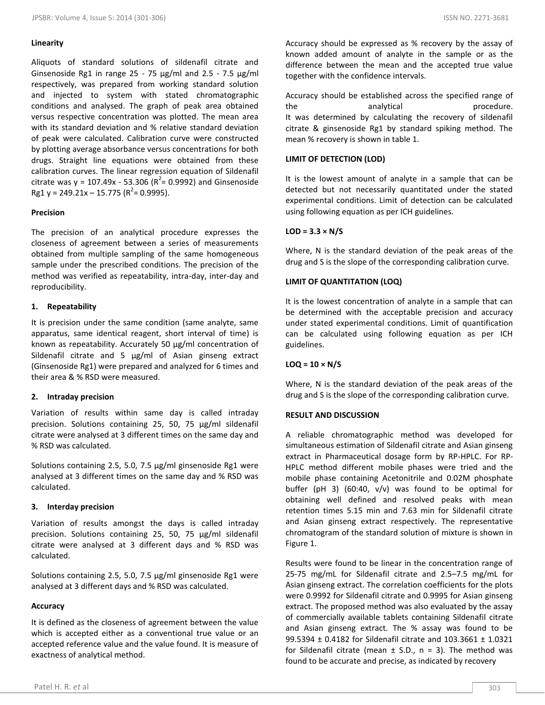Aliquots of standard solutions of sildenafil citrate and Ginsenoside Rg1 in range 25 - 75 μg/ml and 2.5 - 7.5 μg/ml respectively, was prepared from working standard solution and injected to system with stated chromatographic conditions and analysed. The graph of peak area obtained versus respective concentration was plotted. The mean area with its standard deviation and % relative standard deviation of peak were calculated. Calibration curve were constructed by plotting average absorbance versus concentrations for both drugs. Straight line equations were obtained from these calibration curves. The linear regression equation of Sildenafil citrate was  $y = 107.49x - 53.306 (R^2 = 0.9992)$  and Ginsenoside  $Rg1 y = 249.21x - 15.775 (R<sup>2</sup>= 0.9995).$ 

# **Precision**

The precision of an analytical procedure expresses the closeness of agreement between a series of measurements obtained from multiple sampling of the same homogeneous sample under the prescribed conditions. The precision of the method was verified as repeatability, intra-day, inter-day and reproducibility.

# **1. Repeatability**

It is precision under the same condition (same analyte, same apparatus, same identical reagent, short interval of time) is known as repeatability. Accurately 50 µg/ml concentration of Sildenafil citrate and 5 µg/ml of Asian ginseng extract (Ginsenoside Rg1) were prepared and analyzed for 6 times and their area & % RSD were measured.

# **2. Intraday precision**

Variation of results within same day is called intraday precision. Solutions containing 25, 50, 75 μg/ml sildenafil citrate were analysed at 3 different times on the same day and % RSD was calculated.

Solutions containing 2.5, 5.0, 7.5 μg/ml ginsenoside Rg1 were analysed at 3 different times on the same day and % RSD was calculated.

# **3. Interday precision**

Variation of results amongst the days is called intraday precision. Solutions containing 25, 50, 75 μg/ml sildenafil citrate were analysed at 3 different days and % RSD was calculated.

Solutions containing 2.5, 5.0, 7.5 μg/ml ginsenoside Rg1 were analysed at 3 different days and % RSD was calculated.

# **Accuracy**

It is defined as the closeness of agreement between the value which is accepted either as a conventional true value or an accepted reference value and the value found. It is measure of exactness of analytical method.

Accuracy should be expressed as % recovery by the assay of known added amount of analyte in the sample or as the difference between the mean and the accepted true value together with the confidence intervals.

Accuracy should be established across the specified range of the analytical procedure. It was determined by calculating the recovery of sildenafil citrate & ginsenoside Rg1 by standard spiking method. The mean % recovery is shown in table 1.

# **LIMIT OF DETECTION (LOD)**

It is the lowest amount of analyte in a sample that can be detected but not necessarily quantitated under the stated experimental conditions. Limit of detection can be calculated using following equation as per ICH guidelines.

# **LOD = 3.3 × N/S**

Where, N is the standard deviation of the peak areas of the drug and S is the slope of the corresponding calibration curve.

# **LIMIT OF QUANTITATION (LOQ)**

It is the lowest concentration of analyte in a sample that can be determined with the acceptable precision and accuracy under stated experimental conditions. Limit of quantification can be calculated using following equation as per ICH guidelines.

# **LOQ = 10 × N/S**

Where, N is the standard deviation of the peak areas of the drug and S is the slope of the corresponding calibration curve.

# **RESULT AND DISCUSSION**

A reliable chromatographic method was developed for simultaneous estimation of Sildenafil citrate and Asian ginseng extract in Pharmaceutical dosage form by RP-HPLC. For RP-HPLC method different mobile phases were tried and the mobile phase containing Acetonitrile and 0.02M phosphate buffer (pH 3) (60:40, v/v) was found to be optimal for obtaining well defined and resolved peaks with mean retention times 5.15 min and 7.63 min for Sildenafil citrate and Asian ginseng extract respectively. The representative chromatogram of the standard solution of mixture is shown in Figure 1.

Results were found to be linear in the concentration range of 25-75 mg/mL for Sildenafil citrate and 2.5–7.5 mg/mL for Asian ginseng extract. The correlation coefficients for the plots were 0.9992 for Sildenafil citrate and 0.9995 for Asian ginseng extract. The proposed method was also evaluated by the assay of commercially available tablets containing Sildenafil citrate and Asian ginseng extract. The % assay was found to be 99.5394 ± 0.4182 for Sildenafil citrate and 103.3661 ± 1.0321 for Sildenafil citrate (mean  $\pm$  S.D., n = 3). The method was found to be accurate and precise, as indicated by recovery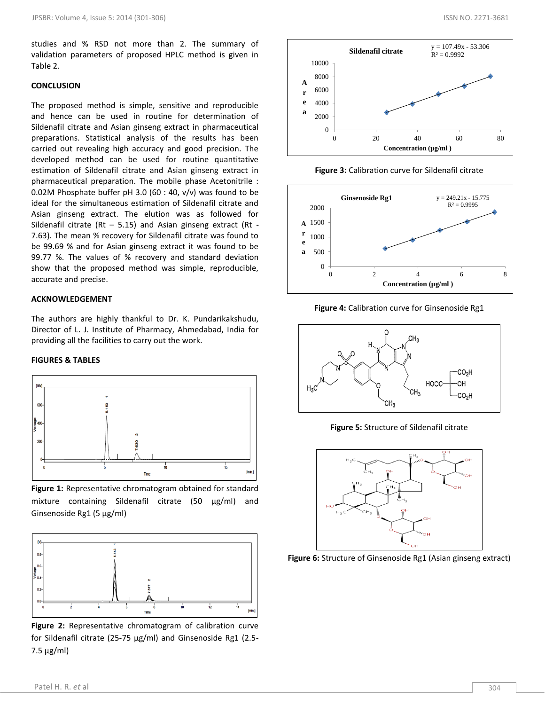studies and % RSD not more than 2. The summary of validation parameters of proposed HPLC method is given in Table 2.

# **CONCLUSION**

The proposed method is simple, sensitive and reproducible and hence can be used in routine for determination of Sildenafil citrate and Asian ginseng extract in pharmaceutical preparations. Statistical analysis of the results has been carried out revealing high accuracy and good precision. The developed method can be used for routine quantitative estimation of Sildenafil citrate and Asian ginseng extract in pharmaceutical preparation. The mobile phase Acetonitrile : 0.02M Phosphate buffer pH 3.0 (60 : 40, v/v) was found to be ideal for the simultaneous estimation of Sildenafil citrate and Asian ginseng extract. The elution was as followed for Sildenafil citrate (Rt  $-$  5.15) and Asian ginseng extract (Rt -7.63). The mean % recovery for Sildenafil citrate was found to be 99.69 % and for Asian ginseng extract it was found to be 99.77 %. The values of % recovery and standard deviation show that the proposed method was simple, reproducible, accurate and precise.

# **ACKNOWLEDGEMENT**

The authors are highly thankful to Dr. K. Pundarikakshudu, Director of L. J. Institute of Pharmacy, Ahmedabad, India for providing all the facilities to carry out the work.

#### **FIGURES & TABLES**



**Figure 1:** Representative chromatogram obtained for standard mixture containing Sildenafil citrate (50 µg/ml) and Ginsenoside Rg1 (5 µg/ml)



**Figure 2:** Representative chromatogram of calibration curve for Sildenafil citrate (25-75 µg/ml) and Ginsenoside Rg1 (2.5- 7.5 µg/ml)







**Figure 4:** Calibration curve for Ginsenoside Rg1



**Figure 5:** Structure of Sildenafil citrate



**Figure 6:** Structure of Ginsenoside Rg1 (Asian ginseng extract)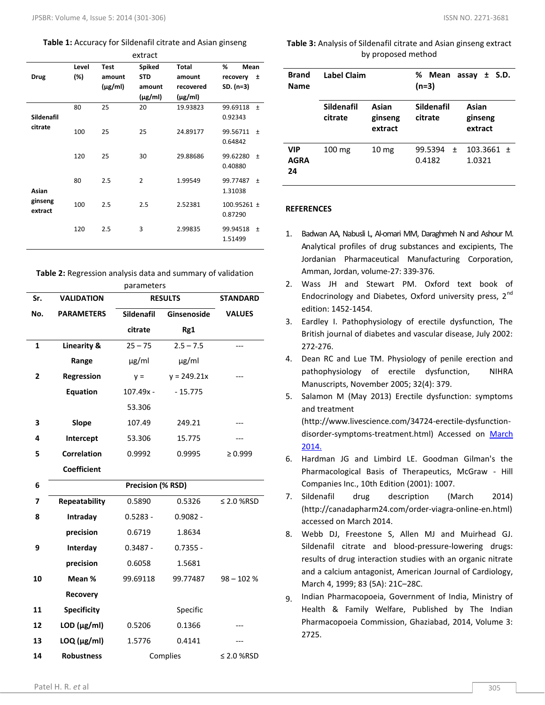#### **Table 1:** Accuracy for Sildenafil citrate and Asian ginseng

| extract                     |       |              |                |              |                              |  |  |
|-----------------------------|-------|--------------|----------------|--------------|------------------------------|--|--|
|                             | Level | <b>Test</b>  | <b>Spiked</b>  | <b>Total</b> | %<br>Mean                    |  |  |
| <b>Drug</b>                 | (%)   | amount       | <b>STD</b>     | amount       | recovery<br>土                |  |  |
|                             |       | $(\mu$ g/ml) | amount         | recovered    | $SD. (n=3)$                  |  |  |
|                             |       |              | $(\mu g/ml)$   | $(\mu$ g/ml) |                              |  |  |
|                             | 80    | 25           | 20             | 19.93823     | 99.69118<br>$\pm$            |  |  |
| Sildenafil                  |       |              |                |              | 0.92343                      |  |  |
| citrate                     | 100   | 25           | 25             | 24.89177     | 99.56711<br>$\pm$<br>0.64842 |  |  |
|                             | 120   | 25           | 30             | 29.88686     | 99.62280<br>$\pm$<br>0.40880 |  |  |
| Asian<br>ginseng<br>extract | 80    | 2.5          | $\overline{2}$ | 1.99549      | 99.77487<br>$\pm$<br>1.31038 |  |  |
|                             | 100   | 2.5          | 2.5            | 2.52381      | 100.95261 ±<br>0.87290       |  |  |
|                             | 120   | 2.5          | 3              | 2.99835      | 99.94518<br>$\pm$<br>1.51499 |  |  |

**Table 2:** Regression analysis data and summary of validation

| parameters   |                        |                   |                 |                 |  |  |
|--------------|------------------------|-------------------|-----------------|-----------------|--|--|
| Sr.          | <b>VALIDATION</b>      | <b>RESULTS</b>    | <b>STANDARD</b> |                 |  |  |
| No.          | <b>PARAMETERS</b>      | <b>Sildenafil</b> | Ginsenoside     | <b>VALUES</b>   |  |  |
|              |                        | citrate           | Rg1             |                 |  |  |
| $\mathbf{1}$ | <b>Linearity &amp;</b> | $25 - 75$         | $2.5 - 7.5$     |                 |  |  |
|              | Range                  | $\mu$ g/ml        | $\mu$ g/ml      |                 |  |  |
| 2            | Regression             | $y =$             | $y = 249.21x$   |                 |  |  |
|              | <b>Equation</b>        | 107.49x -         | $-15.775$       |                 |  |  |
|              |                        | 53.306            |                 |                 |  |  |
| 3            | Slope                  | 107.49            | 249.21          |                 |  |  |
| 4            | Intercept              | 53.306            | 15.775          |                 |  |  |
| 5            | <b>Correlation</b>     | 0.9992            | 0.9995          | $\geq 0.999$    |  |  |
|              | <b>Coefficient</b>     |                   |                 |                 |  |  |
| 6            | Precision (% RSD)      |                   |                 |                 |  |  |
| 7            | Repeatability          | 0.5890            | 0.5326          | $\leq$ 2.0 %RSD |  |  |
| 8            | Intraday               | $0.5283 -$        | $0.9082 -$      |                 |  |  |
|              | precision              | 0.6719            | 1.8634          |                 |  |  |
| 9            | Interday               | $0.3487 -$        | $0.7355 -$      |                 |  |  |
|              | precision              | 0.6058            | 1.5681          |                 |  |  |
| 10           | Mean %                 | 99.69118          | 99.77487        | $98 - 102%$     |  |  |
|              | <b>Recovery</b>        |                   |                 |                 |  |  |
| 11           | <b>Specificity</b>     |                   | Specific        |                 |  |  |
| 12           | LOD $(\mu g/ml)$       | 0.5206            | 0.1366          |                 |  |  |
| 13           | $LOQ$ ( $\mu$ g/ml)    | 1.5776            | 0.4141          |                 |  |  |
| 14           | <b>Robustness</b>      | Complies          |                 | ≤ 2.0 %RSD      |  |  |

**Table 3:** Analysis of Sildenafil citrate and Asian ginseng extract by proposed method

| <b>Brand</b><br><b>Name</b> | <b>Label Claim</b>    |                             | %<br>Mean<br>assay $\pm$ S.D.<br>$(n=3)$ |                             |  |
|-----------------------------|-----------------------|-----------------------------|------------------------------------------|-----------------------------|--|
|                             | Sildenafil<br>citrate | Asian<br>ginseng<br>extract | Sildenafil<br>citrate                    | Asian<br>ginseng<br>extract |  |
| VIP<br><b>AGRA</b><br>24    | $100 \text{ mg}$      | 10 <sub>mg</sub>            | 99.5394<br>$\ddot{}$<br>0.4182           | $103.3661 \pm$<br>1.0321    |  |

#### **REFERENCES**

- 1. Badwan AA, Nabusli L, Al-omari MM, Daraghmeh N and Ashour M. Analytical profiles of drug substances and excipients, The Jordanian Pharmaceutical Manufacturing Corporation, Amman, Jordan, volume-27: 339-376.
- 2. Wass JH and Stewart PM. Oxford text book of Endocrinology and Diabetes, Oxford university press, 2<sup>nd</sup> edition: 1452-1454.
- 3. Eardley I. Pathophysiology of erectile dysfunction, The British journal of diabetes and vascular disease, July 2002: 272-276.
- 4. Dean RC and Lue TM. Physiology of penile erection and pathophysiology of erectile dysfunction, NIHRA Manuscripts, November 2005; 32(4): 379.
- 5. Salamon M (May 2013) Erectile dysfunction: symptoms and treatment

(http://www.livescience.com/34724-erectile-dysfunctiondisorder-symptoms-treatment.html) Accessed on March 2014.

- 6. Hardman JG and Limbird LE. Goodman Gilman's the Pharmacological Basis of Therapeutics, McGraw - Hill Companies Inc., 10th Edition (2001): 1007.
- 7. Sildenafil drug description (March 2014) (http://canadapharm24.com/order-viagra-online-en.html) accessed on March 2014.
- 8. Webb DJ, Freestone S, Allen MJ and Muirhead GJ. Sildenafil citrate and blood-pressure-lowering drugs: results of drug interaction studies with an organic nitrate and a calcium antagonist, American Journal of Cardiology, March 4, 1999; 83 (5A): 21C–28C.
- 9. Indian Pharmacopoeia, Government of India, Ministry of Health & Family Welfare, Published by The Indian Pharmacopoeia Commission, Ghaziabad, 2014, Volume 3: 2725.